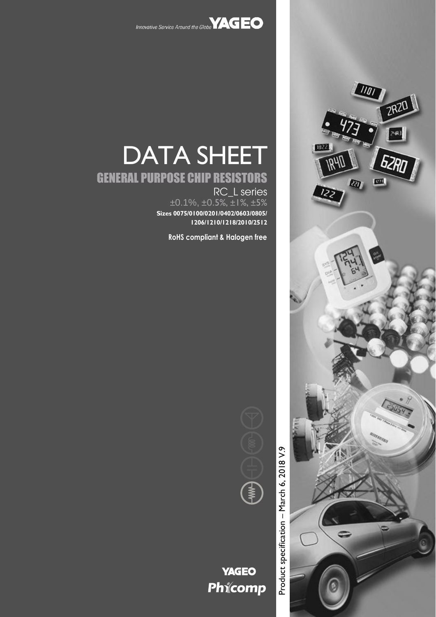

# DATA SHEET

# GENERAL PURPOSE CHIP RESISTORS

RC\_L series  $\pm 0.1\%$ ,  $\pm 0.5\%$ ,  $\pm 1\%$ ,  $\pm 5\%$ **Sizes 0075/0100/0201/0402/0603/0805/ 1206/1210/1218/2010/2512**

**RoHS compliant & Halogen free**



# **YAGEO** Phicomp

Product specification

Product specification - March 6, 2018 V.9

– March 6, 2018 V.

WUI **ZR20** 192 **TRYN** Ծ⁄ œ. **RD**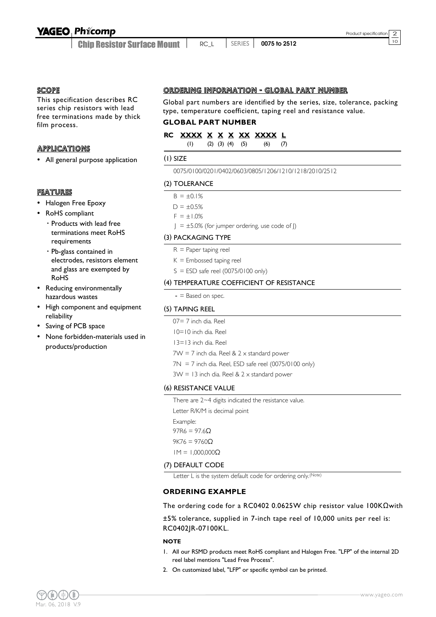Chip Resistor Surface Mount

<sup>10</sup> RC\_L SERIES **0075 to 2512**

**SCOPE** 

This specification describes RC series chip resistors with lead free terminations made by thick film process.

#### **APPLICATIONS**

All general purpose application

#### FEATURES

- Halogen Free Epoxy
- RoHS compliant
	- Products with lead free terminations meet RoHS requirements
	- Pb-glass contained in electrodes, resistors element and glass are exempted by RoHS
- Reducing environmentally hazardous wastes
- High component and equipment reliability
- Saving of PCB space
- None forbidden-materials used in products/production

#### ORDERING INFORMATION - GLOBAL PART NUMBER

Global part numbers are identified by the series, size, tolerance, packing type, temperature coefficient, taping reel and resistance value.

#### **GLOBAL PART NUMBER**

#### **RC XXXX X X X XX XXXX L**

(1) (2) (3) (4) (5) (6) (7)

#### (1) SIZE

0075/0100/0201/0402/0603/0805/1206/1210/1218/2010/2512

#### (2) TOLERANCE

 $B = \pm 0.1\%$ 

```
D = \pm 0.5%
```

```
F = \pm 1.0\%
```
 $J = \pm 5.0\%$  (for jumper ordering, use code of J)

#### (3) PACKAGING TYPE

- $R =$  Paper taping reel
- $K =$  Embossed taping reel
- $S = ESD$  safe reel (0075/0100 only)

#### (4) TEMPERATURE COEFFICIENT OF RESISTANCE

 $-$  = Based on spec.

#### (5) TAPING REEL

- 07= 7 inch dia. Reel
- 10=10 inch dia. Reel
- 13=13 inch dia. Reel
- $7W = 7$  inch dia. Reel &  $2 \times$  standard power
- $7N = 7$  inch dia. Reel, ESD safe reel (0075/0100 only)

 $3W = 13$  inch dia. Reel &  $2 \times$  standard power

#### (6) RESISTANCE VALUE

There are 2~4 digits indicated the resistance value. Letter R/K/M is decimal point

Example: 97R6 = 97.6 $Ω$ 

 $9K76 = 9760Ω$ 

1M = 1,000,000Ω

#### (7) DEFAULT CODE

Letter L is the system default code for ordering only.<sup>(Note)</sup>

#### **ORDERING EXAMPLE**

The ordering code for a RC0402 0.0625W chip resistor value 100KΩwith

±5% tolerance, supplied in 7-inch tape reel of 10,000 units per reel is: RC0402JR-07100KL.

#### **NOTE**

- 1. All our RSMD products meet RoHS compliant and Halogen Free. "LFP" of the internal 2D reel label mentions "Lead Free Process".
- 2. On customized label, "LFP" or specific symbol can be printed.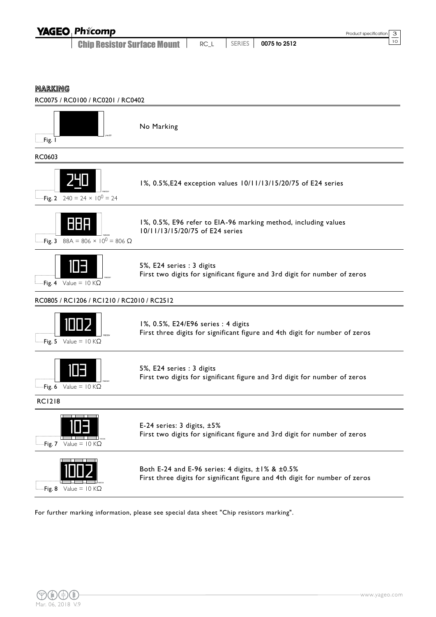

Fig. 6 Value =  $10 KΩ$ 

5%, E24 series : 3 digits First two digits for significant figure and 3rd digit for number of zeros

RC1218



E-24 series: 3 digits, ±5% First two digits for significant figure and 3rd digit for number of zeros



Both E-24 and E-96 series: 4 digits, ±1% & ±0.5% First three digits for significant figure and 4th digit for number of zeros

For further marking information, please see special data sheet "Chip resistors marking".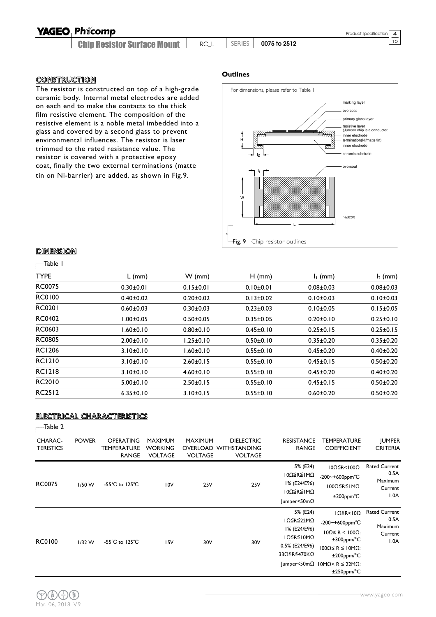Chip Resistor Surface Mount

<sup>10</sup> RC\_L SERIES **0075 to 2512**

#### CONSTRUCTION

The resistor is constructed on top of a high-grade ceramic body. Internal metal electrodes are added on each end to make the contacts to the thick film resistive element. The composition of the resistive element is a noble metal imbedded into a glass and covered by a second glass to prevent environmental influences. The resistor is laser trimmed to the rated resistance value. The resistor is covered with a protective epoxy coat, finally the two external terminations (matte tin on Ni-barrier) are added, as shown in Fig.9.

#### **Outlines**



#### **DIMENSION**

#### Table 1

| <b>TYPE</b>   | $L$ (mm)        | $W$ (mm)        | $H$ (mm)        | $I_1$ (mm)      | $I_2$ (mm)      |
|---------------|-----------------|-----------------|-----------------|-----------------|-----------------|
| <b>RC0075</b> | $0.30 \pm 0.01$ | $0.15 \pm 0.01$ | $0.10 \pm 0.01$ | $0.08 + 0.03$   | $0.08 \pm 0.03$ |
| <b>RC0100</b> | $0.40 \pm 0.02$ | $0.20 + 0.02$   | $0.13 \pm 0.02$ | $0.10 \pm 0.03$ | $0.10 \pm 0.03$ |
| <b>RC0201</b> | $0.60 + 0.03$   | $0.30 + 0.03$   | $0.23 \pm 0.03$ | $0.10 + 0.05$   | $0.15 \pm 0.05$ |
| <b>RC0402</b> | $1.00 \pm 0.05$ | $0.50 + 0.05$   | $0.35 \pm 0.05$ | $0.20 \pm 0.10$ | $0.25 \pm 0.10$ |
| RC0603        | $1.60 \pm 0.10$ | $0.80 + 0.10$   | $0.45 \pm 0.10$ | $0.25 \pm 0.15$ | $0.25 \pm 0.15$ |
| <b>RC0805</b> | $2.00 \pm 0.10$ | $1.25 \pm 0.10$ | $0.50 \pm 0.10$ | $0.35 \pm 0.20$ | $0.35 \pm 0.20$ |
| <b>RC1206</b> | $3.10 \pm 0.10$ | $1.60 \pm 0.10$ | $0.55 \pm 0.10$ | $0.45 \pm 0.20$ | $0.40 + 0.20$   |
| <b>RC1210</b> | $3.10 \pm 0.10$ | $2.60 \pm 0.15$ | $0.55 \pm 0.10$ | $0.45 \pm 0.15$ | $0.50 + 0.20$   |
| <b>RC1218</b> | $3.10 \pm 0.10$ | $4.60 \pm 0.10$ | $0.55 \pm 0.10$ | $0.45 \pm 0.20$ | $0.40 + 0.20$   |
| RC2010        | $5.00 \pm 0.10$ | $2.50 \pm 0.15$ | $0.55 \pm 0.10$ | $0.45 \pm 0.15$ | $0.50 + 0.20$   |
| <b>RC2512</b> | $6.35 \pm 0.10$ | $3.10 \pm 0.15$ | $0.55 \pm 0.10$ | $0.60 + 0.20$   | $0.50 + 0.20$   |

#### ELECTRICAL CHARACTERISTICS

| ап<br>٧ |  |
|---------|--|
|---------|--|

| <b>CHARAC-</b><br><b>TERISTICS</b> | <b>POWER</b> | <b>OPERATING</b><br>TEMPERATURE<br><b>RANGE</b> | <b>MAXIMUM</b><br><b>WORKING</b><br><b>VOLTAGE</b> | <b>MAXIMUM</b><br><b>OVERLOAD</b><br><b>VOLTAGE</b> | <b>DIELECTRIC</b><br><b>WITHSTANDING</b><br><b>VOLTAGE</b> | <b>RESISTANCE</b><br><b>RANGE</b>                                                   | TEMPERATURE<br><b>COEFFICIENT</b>                                                                                                                                                                                          | <b>JUMPER</b><br><b>CRITERIA</b>                             |
|------------------------------------|--------------|-------------------------------------------------|----------------------------------------------------|-----------------------------------------------------|------------------------------------------------------------|-------------------------------------------------------------------------------------|----------------------------------------------------------------------------------------------------------------------------------------------------------------------------------------------------------------------------|--------------------------------------------------------------|
| <b>RC0075</b>                      | $1/50$ W     | $-55^{\circ}$ C to 125 $^{\circ}$ C             | 10V                                                | 25V                                                 | 25V                                                        | 5% (E24)<br>10Ω≦R≦1MΩ<br>I% (E24/E96)<br>10Ω ≤ R ≤ 1MΩ<br>$ $ umper<50m $\Omega$    | $10Ω$ $≤$ R<100Ω<br>-200~+600ppm°C<br>100Ω≦R≦1MΩ<br>$±200$ ppm $°C$                                                                                                                                                        | <b>Rated Current</b><br>0.5A<br>Maximum<br>Current<br>$A$ 0. |
| RC0100                             | $1/32$ W     | $-55^{\circ}$ C to 125 $^{\circ}$ C             | 15V                                                | 30V                                                 | 30V                                                        | 5% (E24)<br>IΩ≦R≦22MΩ<br>I% (E24/E96)<br>ΙΩ≦R≦Ι0ΜΩ<br>0.5% (E24/E96)<br>33Ω≦R≦470KΩ | $I\Omega \leq R < I\ 0\Omega$<br>-200~+600ppm°C<br>$10Ω ≤ R < 100Ω$ :<br>$\pm 300$ ppm/°C<br>$100Ω ≤ R ≤ 10MΩ$ :<br>$±200$ ppm/ $°C$<br>$ $ umper<50m $\Omega$   0M $\Omega$ < R $\leq$ 22M $\Omega$ :<br>$±250$ ppm/ $°C$ | <b>Rated Current</b><br>0.5A<br>Maximum<br>Current<br>$A$ 0. |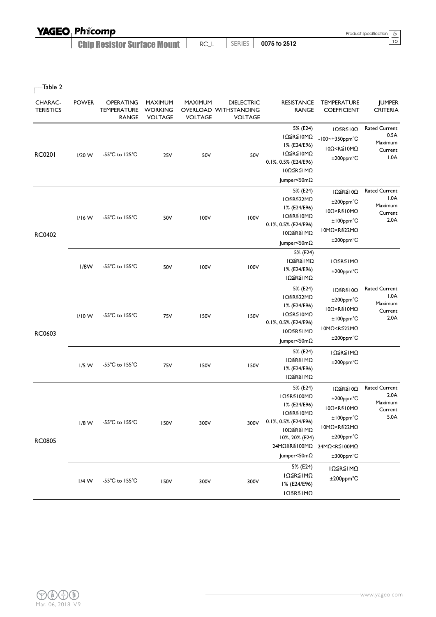| <b>YAGEO Phicomp</b>               |      |          |              | Product specification 5 |  |
|------------------------------------|------|----------|--------------|-------------------------|--|
| <b>Chip Resistor Surface Mount</b> | RC L | SERIES I | 0075 to 2512 |                         |  |

 $\overline{\phantom{a}}$ Table 2

| <b>CHARAC-</b><br><b>TERISTICS</b> | <b>POWER</b> | OPERATING<br><b>TEMPERATURE</b><br><b>RANGE</b> | <b>MAXIMUM</b><br>WORKING<br><b>VOLTAGE</b> | <b>MAXIMUM</b><br><b>VOLTAGE</b> | <b>DIELECTRIC</b><br>OVERLOAD WITHSTANDING<br><b>VOLTAGE</b> | <b>RESISTANCE</b><br><b>RANGE</b>                                                                                                         | TEMPERATURE<br><b>COEFFICIENT</b>                                                                                                                                                  | <b>JUMPER</b><br><b>CRITERIA</b>                           |
|------------------------------------|--------------|-------------------------------------------------|---------------------------------------------|----------------------------------|--------------------------------------------------------------|-------------------------------------------------------------------------------------------------------------------------------------------|------------------------------------------------------------------------------------------------------------------------------------------------------------------------------------|------------------------------------------------------------|
| <b>RC0201</b>                      | $1/20$ W     | $-55^{\circ}$ C to 125 $^{\circ}$ C             | 25V                                         | 50V                              | 50V                                                          | 5% (E24)<br>ΙΩ≦R≦Ι0ΜΩ<br>I% (E24/E96)<br>ΙΩ≦R≦Ι0ΜΩ<br>0.1%, 0.5% (E24/E96)<br>10Ω≦R≦IMΩ<br>Jumper<50mΩ                                    | $I\Omega \leq R \leq I\ 0\Omega$<br>-100~+350ppm°C<br>$10\Omega < R \leq 10 M\Omega$<br>$±200$ ppm $°C$                                                                            | <b>Rated Current</b><br>0.5A<br>Maximum<br>Current<br>1.0A |
| RC0402                             | $1/16$ W     | $-55^{\circ}$ C to $155^{\circ}$ C              | 50V                                         | 100V                             | 100V                                                         | 5% (E24)<br>IΩ≦R≦22MΩ<br>I% (E24/E96)<br>ΙΩ≦R≦Ι0ΜΩ<br>0.1%, 0.5% (E24/E96)<br>10Ω≦R≦IMΩ<br>Jumper<50mΩ                                    | $I\Omega \leq R \leq I\ 0\Omega$<br>±200ppm°C<br>$10\Omega < R \le 10 M\Omega$<br>±100ppm°C<br>10MΩ <r≦22mω<br>±200ppm°C</r≦22mω<br>                                               | <b>Rated Current</b><br>1.0A<br>Maximum<br>Current<br>2.0A |
|                                    | 1/8W         | -55 $^{\circ}$ C to 155 $^{\circ}$ C            | 50V                                         | 100V                             | 100V                                                         | 5% (E24)<br>ΙΩ≦R≦ΙΜΩ<br>I% (E24/E96)<br>ΙΩ≦R≦ΙΜΩ                                                                                          | ΙΩ≦R≦ΙΜΩ<br>$±200$ ppm $°C$                                                                                                                                                        |                                                            |
| RC0603                             | $1/10$ W     | $-55^{\circ}$ C to $155^{\circ}$ C              | 75V                                         | 150V                             | 150V                                                         | 5% (E24)<br>IΩ≦R≦22MΩ<br>I% (E24/E96)<br>ΙΩ≦R≦Ι0ΜΩ<br>0.1%, 0.5% (E24/E96)<br>10Ω≦R≦IMΩ<br>Jumper<50mΩ                                    | IΩ≦R≦10Ω<br>±200ppm°C<br>$10\Omega < R \leq 10 M\Omega$<br>±100ppm°C<br>10MΩ <r≦22mω<br>±200ppm°C</r≦22mω<br>                                                                      | <b>Rated Current</b><br>1.0A<br>Maximum<br>Current<br>2.0A |
|                                    | $1/5$ W      | -55°C to 155°C                                  | 75V                                         | 150V                             | 150V                                                         | 5% (E24)<br>ΙΩ≦R≦ΙΜΩ<br>I% (E24/E96)<br>ΙΩ≦R≦ΙΜΩ                                                                                          | ΙΩ≦R≦ΙΜΩ<br>$±200$ ppm $°C$                                                                                                                                                        |                                                            |
| <b>RC0805</b>                      | $1/8$ W      | $-55^{\circ}$ C to $155^{\circ}$ C              | 150V                                        | 300V                             | 300V                                                         | 5% (E24)<br>ΙΩ≦R≦Ι00ΜΩ<br>I% (E24/E96)<br>ΙΩ≦R≦Ι0ΜΩ<br>0.1%, 0.5% (E24/E96)<br>ΙΟΩ≦R≦ΙΜΩ<br>10%, 20% (E24)<br>24MΩ≦R≦100MΩ<br>Jumper<50mΩ | IΩ≦R≦10Ω<br>$±200$ ppm $°C$<br>$100 < R \le 10 M\Omega$<br>±100ppm°C<br>10MΩ <r≦22mω<br>±200ppm°C<br/>24MΩ<r≦100mω<br><math>±300</math>ppm<math>°C</math></r≦100mω<br></r≦22mω<br> | <b>Rated Current</b><br>2.0A<br>Maximum<br>Current<br>5.0A |
|                                    | $1/4$ W      | -55 $^{\circ}$ C to 155 $^{\circ}$ C            | 150V                                        | 300V                             | 300V                                                         | 5% (E24)<br>ΙΩ≦R≦ΙΜΩ<br>I% (E24/E96)<br>ΙΩ≦R≦ΙΜΩ                                                                                          | ΙΩ≦R≦ΙΜΩ<br>±200ppm°C                                                                                                                                                              |                                                            |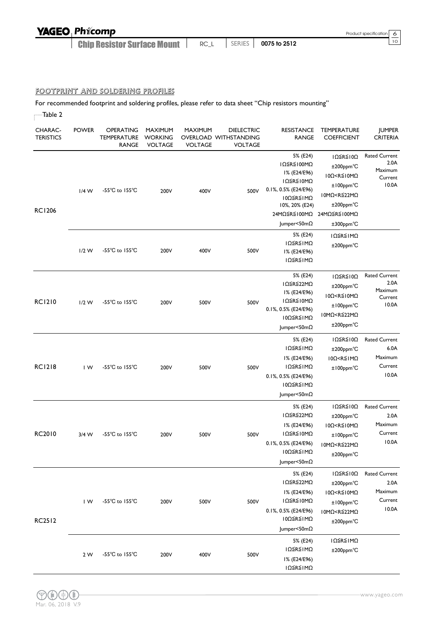Chip Resistor Surface Mount <sup>10</sup> RC\_L SERIES **0075 to 2512**

#### FOOTPRINT AND SOLDERING PROFILES

For recommended footprint and soldering profiles, please refer to data sheet "Chip resistors mounting"

| Table 2                     |                         |                                                 |                                                    |                                  |                                                              |                                                                                                                                           |                                                                                                                                                                            |                                                             |
|-----------------------------|-------------------------|-------------------------------------------------|----------------------------------------------------|----------------------------------|--------------------------------------------------------------|-------------------------------------------------------------------------------------------------------------------------------------------|----------------------------------------------------------------------------------------------------------------------------------------------------------------------------|-------------------------------------------------------------|
| CHARAC-<br><b>TERISTICS</b> | <b>POWER</b>            | <b>OPERATING</b><br><b>TEMPERATURE</b><br>RANGE | <b>MAXIMUM</b><br><b>WORKING</b><br><b>VOLTAGE</b> | <b>MAXIMUM</b><br><b>VOLTAGE</b> | <b>DIELECTRIC</b><br>OVERLOAD WITHSTANDING<br><b>VOLTAGE</b> | <b>RESISTANCE</b><br><b>RANGE</b>                                                                                                         | <b>TEMPERATURE</b><br><b>COEFFICIENT</b>                                                                                                                                   | <b>IUMPER</b><br><b>CRITERIA</b>                            |
| <b>RC1206</b>               | $1/4$ W                 | $-55^{\circ}$ C to $155^{\circ}$ C              | 200V                                               | 400V                             | 500V                                                         | 5% (E24)<br>IΩ≦R≦100MΩ<br>I% (E24/E96)<br>ΙΩ≦R≦Ι0ΜΩ<br>0.1%, 0.5% (E24/E96)<br>10Ω≦R≦IMΩ<br>10%, 20% (E24)<br>24MΩ≦R≦100MΩ<br>Jumper<50mΩ | $I\Omega \leq R \leq I\ 0\Omega$<br>±200ppm°C<br>$10\Omega < R \leq 10 M\Omega$<br>$±100$ ppm $°C$<br>10MΩ <r≦22mω<br>±200ppm°C<br/>24MΩ≦R≦100MΩ<br/>±300ppm°C</r≦22mω<br> | <b>Rated Current</b><br>2.0A<br>Maximum<br>Current<br>10.0A |
|                             | $1/2$ W                 | $-55^{\circ}$ C to $155^{\circ}$ C              | 200V                                               | 400V                             | 500V                                                         | 5% (E24)<br>ΙΩ≦R≦ΙΜΩ<br>I% (E24/E96)<br>ΙΩ≦R≦ΙΜΩ                                                                                          | ΙΩ≦R≦ΙΜΩ<br>$±200$ ppm $°C$                                                                                                                                                |                                                             |
| <b>RC1210</b>               | $1/2$ W                 | $-55^{\circ}$ C to $155^{\circ}$ C              | 200V                                               | 500V                             | 500V                                                         | 5% (E24)<br>IΩ≦R≦22MΩ<br>I% (E24/E96)<br>ΙΩ≦R≦Ι0ΜΩ<br>0.1%, 0.5% (E24/E96)<br>10Ω≦R≦1MΩ<br>Jumper<50m $\Omega$                            | ΙΩ≦R≦Ι0Ω<br>±200ppm°C<br>$10\Omega < R \le 10 M\Omega$<br>$±100$ ppm $°C$<br>10MΩ <r≦22mω<br>±200ppm°C</r≦22mω<br>                                                         | <b>Rated Current</b><br>2.0A<br>Maximum<br>Current<br>10.0A |
| <b>RC1218</b>               | $\mathsf{I} \mathsf{W}$ | -55 $^{\circ}$ C to 155 $^{\circ}$ C            | 200V                                               | 500V                             | 500V                                                         | 5% (E24)<br>ΙΩ≦R≦ΙΜΩ<br>I% (E24/E96)<br>ΙΩ≦R≦ΙΜΩ<br>0.1%, 0.5% (E24/E96)<br>10Ω≦R≦IMΩ<br>Jumper<50m $\Omega$                              | $I\Omega \leq R \leq I\ 0\Omega$<br>$±200$ ppm $°C$<br>$10\Omega < R \leq 1 M\Omega$<br>$±100$ ppm $°C$                                                                    | <b>Rated Current</b><br>6.0A<br>Maximum<br>Current<br>10.0A |
| <b>RC2010</b>               | 3/4 W                   | -55 $^{\circ}$ C to 155 $^{\circ}$ C            | 200V                                               | 500V                             | 500V                                                         | 5% (E24)<br>IΩ≦R≦22MΩ<br>I% (E24/E96)<br>ΙΩ≦R≦Ι0ΜΩ<br>0.1%, 0.5% (E24/E96)<br>10Ω≦R≦1MΩ<br>$ $ umper<50m $\Omega$                         | ΙΩ≦R≦Ι0Ω<br>±200ppm°C<br>$10\Omega < R \leq 10 M\Omega$<br>$±100$ ppm $°C$<br>10MΩ <r≦22mω<br>±200ppm°C</r≦22mω<br>                                                        | <b>Rated Current</b><br>2.0A<br>Maximum<br>Current<br>10.0A |
| <b>RC2512</b>               | IW                      | -55°C to 155°C                                  | 200V                                               | 500V                             | 500V                                                         | 5% (E24)<br>IΩ≦R≦22MΩ<br>I% (E24/E96)<br>ΙΩ≦R≦Ι0ΜΩ<br>0.1%, 0.5% (E24/E96)<br>10Ω≦R≦IMΩ<br>Jumper<50mΩ                                    | IΩ≦R≦10Ω<br>±200ppm°C<br>10Ω <r≦10mω<br>±100ppm°C<br/>10MΩ<r≦22mω<br>±200ppm°C</r≦22mω<br></r≦10mω<br>                                                                     | <b>Rated Current</b><br>2.0A<br>Maximum<br>Current<br>10.0A |
|                             | 2 W                     | -55°C to 155°C                                  | 200V                                               | 400V                             | 500V                                                         | 5% (E24)<br>ΙΩ≦R≦ΙΜΩ<br>I% (E24/E96)<br>ΙΩ≦R≦ΙΜΩ                                                                                          | ΙΩ≦R≦ΙΜΩ<br>±200ppm°C                                                                                                                                                      |                                                             |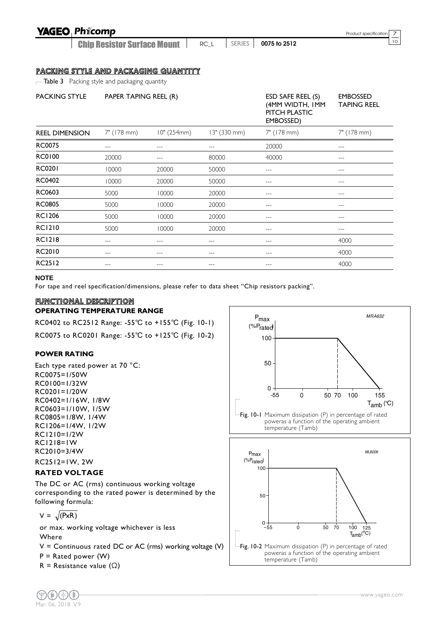Chip Resistor Surface Mount

<sup>10</sup> RC\_L SERIES **0075 to 2512**

Product specification  $\frac{7}{10}$ 

#### PACKING STYLE AND PACKAGING QUANTITY

**Table 3** Packing style and packaging quantity

| <b>PACKING STYLE</b>  | PAPER TAPING REEL (R) |             |              | ESD SAFE REEL (S)<br>(4MM WIDTH, IMM<br>PITCH PLASTIC<br>EMBOSSED) | <b>EMBOSSED</b><br><b>TAPING REEL</b> |
|-----------------------|-----------------------|-------------|--------------|--------------------------------------------------------------------|---------------------------------------|
| <b>REEL DIMENSION</b> | 7" (178 mm)           | 10" (254mm) | 13" (330 mm) | 7" (178 mm)                                                        | 7" (178 mm)                           |
| <b>RC0075</b>         | ---                   |             | ---          | 20000                                                              | ---                                   |
| <b>RC0100</b>         | 20000                 |             | 80000        | 40000                                                              | ---                                   |
| <b>RC0201</b>         | 10000                 | 20000       | 50000        | $---$                                                              | ---                                   |
| <b>RC0402</b>         | 10000                 | 20000       | 50000        |                                                                    |                                       |
| RC0603                | 5000                  | 10000       | 20000        |                                                                    |                                       |
| <b>RC0805</b>         | 5000                  | 10000       | 20000        | ---                                                                | ---                                   |
| <b>RC1206</b>         | 5000                  | 10000       | 20000        | ---                                                                |                                       |
| <b>RC1210</b>         | 5000                  | 10000       | 20000        |                                                                    |                                       |
| <b>RC1218</b>         | ---                   | ---         | $---$        | $---$                                                              | 4000                                  |
| RC2010                | ---                   | ---         | ---          | ---                                                                | 4000                                  |
| <b>RC2512</b>         | ---                   | ---         | $---$        | $---$                                                              | 4000                                  |

#### **NOTE**

For tape and reel specification/dimensions, please refer to data sheet "Chip resistors packing".

#### FUNCTIONAL DESCRIPTION

#### **OPERATING TEMPERATURE RANGE**

RC0402 to RC2512 Range: -55℃ to +155℃ (Fig. 10-1) RC0075 to RC0201 Range: -55℃ to +125℃ (Fig. 10-2)

#### **POWER RATING**

Each type rated power at 70 °C: RC0075=1/50W RC0100=1/32W RC0201=1/20W RC0402=1/16W, 1/8W RC0603=1/10W, 1/5W RC0805=1/8W, 1/4W RC1206=1/4W, 1/2W RC1210=1/2W RC1218=1W RC2010=3/4W RC2512=1W, 2W

#### **RATED VOLTAGE**

The DC or AC (rms) continuous working voltage corresponding to the rated power is determined by the following formula:

$$
V = \sqrt{PxR}
$$

or max. working voltage whichever is less Where

 $V =$  Continuous rated DC or AC (rms) working voltage (V)

 $P =$  Rated power (W)

R = Resistance value  $(\Omega)$ 



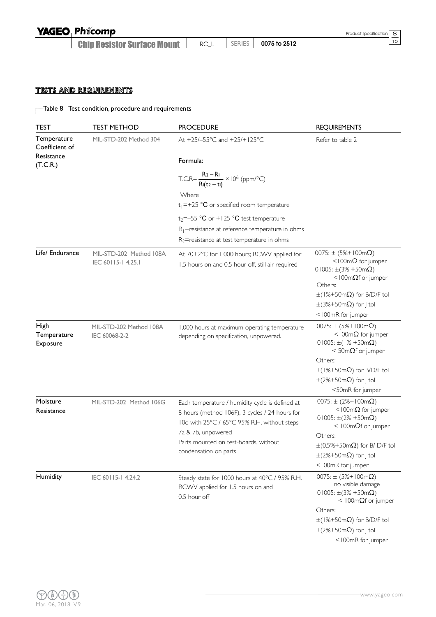Chip Resistor Surface Mount <sup>10</sup> RC\_L SERIES **0075 to 2512**

#### TESTS AND REQUIREMENTS

Table 8 Test condition, procedure and requirements

| <b>TEST</b>                                 | <b>TEST METHOD</b>                           | <b>PROCEDURE</b>                                                                                                                                 | <b>REQUIREMENTS</b>                                                                                                                               |
|---------------------------------------------|----------------------------------------------|--------------------------------------------------------------------------------------------------------------------------------------------------|---------------------------------------------------------------------------------------------------------------------------------------------------|
| Temperature<br>Coefficient of<br>Resistance | MIL-STD-202 Method 304                       | At +25/-55°C and +25/+125°C                                                                                                                      | Refer to table 2                                                                                                                                  |
| (T.C.R.)                                    |                                              | Formula:                                                                                                                                         |                                                                                                                                                   |
|                                             |                                              | T.C.R= $\frac{R_2 - R_1}{R_1(t_2 - t_1)} \times 10^6$ (ppm/°C)                                                                                   |                                                                                                                                                   |
|                                             |                                              | Where                                                                                                                                            |                                                                                                                                                   |
|                                             |                                              | $t_1$ =+25 °C or specified room temperature                                                                                                      |                                                                                                                                                   |
|                                             |                                              | $t_2$ =-55 °C or +125 °C test temperature                                                                                                        |                                                                                                                                                   |
|                                             |                                              | $R_1$ =resistance at reference temperature in ohms<br>$R_2$ =resistance at test temperature in ohms                                              |                                                                                                                                                   |
| Life/ Endurance                             | MIL-STD-202 Method 108A<br>IEC 60115-14.25.1 | At 70±2°C for 1,000 hours; RCWV applied for<br>1.5 hours on and 0.5 hour off, still air required                                                 | $0075: \pm (5\% + 100 \text{m}\Omega)$<br><100m $\Omega$ for jumper<br>$01005: \pm (3\% + 50m\Omega)$<br>$<$ 100m $\Omega$ f or jumper<br>Others: |
|                                             |                                              |                                                                                                                                                  | $\pm$ (1%+50m $\Omega$ ) for B/D/F tol<br>$\pm$ (3%+50m $\Omega$ ) for J tol<br><100mR for jumper                                                 |
| High                                        | MIL-STD-202 Method 108A                      | 1,000 hours at maximum operating temperature                                                                                                     | $0075: \pm (5\% + 100 \text{m}\Omega)$                                                                                                            |
| Temperature<br><b>Exposure</b>              | IEC 60068-2-2                                | depending on specification, unpowered.                                                                                                           | <100m $\Omega$ for jumper<br>$01005: \pm (1\% + 50m\Omega)$<br>$<$ 50m $\Omega$ f or jumper                                                       |
|                                             |                                              |                                                                                                                                                  | Others:                                                                                                                                           |
|                                             |                                              |                                                                                                                                                  | $\pm$ (1%+50m $\Omega$ ) for B/D/F tol                                                                                                            |
|                                             |                                              |                                                                                                                                                  | $\pm$ (2%+50m $\Omega$ ) for J tol                                                                                                                |
|                                             |                                              |                                                                                                                                                  | <50mR for jumper                                                                                                                                  |
| Moisture<br>Resistance                      | MIL-STD-202 Method 106G                      | Each temperature / humidity cycle is defined at<br>8 hours (method 106F), 3 cycles / 24 hours for<br>10d with 25°C / 65°C 95% R.H, without steps | $0075: \pm (2%+100m\Omega)$<br><100m $\Omega$ for jumper<br>$01005: \pm (2\% + 50m\Omega)$<br>$<$ 100m $\Omega$ f or jumper                       |
|                                             |                                              | 7a & 7b, unpowered                                                                                                                               | Others:                                                                                                                                           |
|                                             |                                              | Parts mounted on test-boards, without<br>condensation on parts                                                                                   | $\pm$ (0.5%+50m $\Omega$ ) for B/D/F tol                                                                                                          |
|                                             |                                              |                                                                                                                                                  | $\pm$ (2%+50m $\Omega$ ) for   tol                                                                                                                |
|                                             |                                              |                                                                                                                                                  | <100mR for jumper                                                                                                                                 |
| Humidity                                    | IEC 60115-14.24.2                            | Steady state for 1000 hours at 40°C / 95% R.H.<br>RCWV applied for 1.5 hours on and<br>0.5 hour off                                              | $0075: \pm (5%+100m\Omega)$<br>no visible damage<br>$01005: \pm (3\% + 50m\Omega)$<br>$<$ 100m $\Omega$ f or jumper                               |
|                                             |                                              |                                                                                                                                                  | Others:                                                                                                                                           |
|                                             |                                              |                                                                                                                                                  | $\pm$ (1%+50m $\Omega$ ) for B/D/F tol                                                                                                            |
|                                             |                                              |                                                                                                                                                  | $\pm$ (2%+50m $\Omega$ ) for J tol                                                                                                                |
|                                             |                                              |                                                                                                                                                  | <100mR for jumper                                                                                                                                 |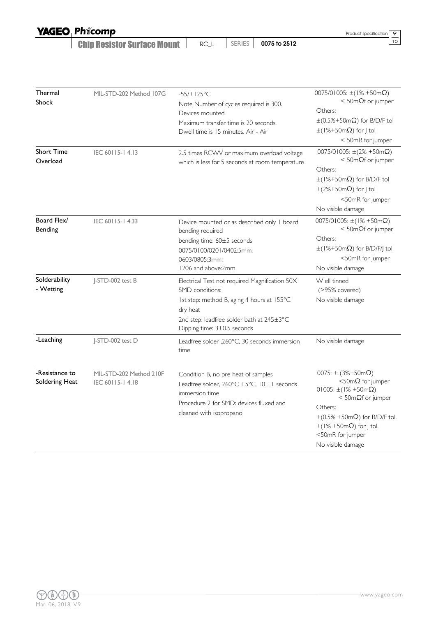Chip Resistor Surface Mount <sup>10</sup> RC\_L SERIES **0075 to 2512**

Product specification  $\frac{9}{10}$ 

| Thermal<br>Shock                 | MIL-STD-202 Method 107G                    | $-55/+125°C$<br>Note Number of cycles required is 300.<br>Devices mounted                                                                                                                               | $0075/01005$ : ±(1% +50m $\Omega$ )<br>$<$ 50m $\Omega$ f or jumper<br>Others:                                                                                                                                                                                                          |  |  |
|----------------------------------|--------------------------------------------|---------------------------------------------------------------------------------------------------------------------------------------------------------------------------------------------------------|-----------------------------------------------------------------------------------------------------------------------------------------------------------------------------------------------------------------------------------------------------------------------------------------|--|--|
|                                  |                                            | Maximum transfer time is 20 seconds.<br>Dwell time is 15 minutes. Air - Air                                                                                                                             | $\pm (0.5\% + 50 \text{m}\Omega)$ for B/D/F tol<br>$\pm$ (1%+50m $\Omega$ ) for J tol<br>< 50mR for jumper                                                                                                                                                                              |  |  |
| <b>Short Time</b><br>Overload    | IEC 60115-14.13                            | 2.5 times RCWV or maximum overload voltage<br>which is less for 5 seconds at room temperature                                                                                                           | $0075/01005$ : $\pm(2\% + 50m\Omega)$<br>$<$ 50m $\Omega$ f or jumper<br>Others:<br>$\pm$ (1%+50m $\Omega$ ) for B/D/F tol<br>$\pm$ (2%+50m $\Omega$ ) for J tol<br><50mR for jumper<br>No visible damage                                                                               |  |  |
| Board Flex/<br>Bending           | IEC 60115-14.33                            | Device mounted or as described only I board<br>bending required<br>bending time: 60±5 seconds<br>0075/0100/0201/0402:5mm;<br>0603/0805:3mm;<br>1206 and above:2mm                                       | $0075/01005$ : ±(1% +50m $\Omega$ )<br>$<$ 50m $\Omega$ f or jumper<br>Others:<br>$\pm$ (1%+50m $\Omega$ ) for B/D/F/J tol<br><50mR for jumper<br>No visible damage                                                                                                                     |  |  |
| Solderability<br>- Wetting       | J-STD-002 test B                           | Electrical Test not required Magnification 50X<br>SMD conditions:<br>Ist step: method B, aging 4 hours at 155°C<br>dry heat<br>2nd step: leadfree solder bath at 245±3°C<br>Dipping time: 3±0.5 seconds | W ell tinned<br>(>95% covered)<br>No visible damage                                                                                                                                                                                                                                     |  |  |
| -Leaching                        | J-STD-002 test D                           | Leadfree solder , 260°C, 30 seconds immersion<br>time                                                                                                                                                   | No visible damage                                                                                                                                                                                                                                                                       |  |  |
| -Resistance to<br>Soldering Heat | MIL-STD-202 Method 210F<br>IEC 60115-14.18 | Condition B, no pre-heat of samples<br>Leadfree solder, 260°C ±5°C, 10 ±1 seconds<br>immersion time<br>Procedure 2 for SMD: devices fluxed and<br>cleaned with isopropanol                              | 0075: $\pm$ (3%+50m $\Omega$ )<br>$<$ 50m $\Omega$ for jumper<br>$01005: \pm (1\% + 50 \text{m}\Omega)$<br>$<$ 50m $\Omega$ f or jumper<br>Others:<br>$\pm (0.5\% + 50 \text{m}\Omega)$ for B/D/F tol.<br>$\pm$ (1% +50m $\Omega$ ) for J tol.<br><50mR for jumper<br>No visible damage |  |  |